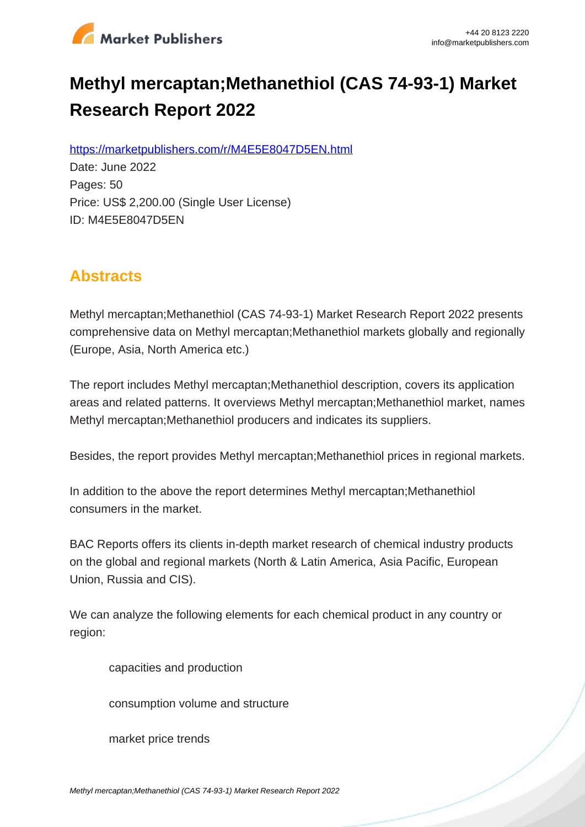

# **Methyl mercaptan;Methanethiol (CAS 74-93-1) Market Research Report 2022**

https://marketpublishers.com/r/M4E5E8047D5EN.html

Date: June 2022 Pages: 50 Price: US\$ 2,200.00 (Single User License) ID: M4E5E8047D5EN

# **Abstracts**

Methyl mercaptan;Methanethiol (CAS 74-93-1) Market Research Report 2022 presents comprehensive data on Methyl mercaptan;Methanethiol markets globally and regionally (Europe, Asia, North America etc.)

The report includes Methyl mercaptan;Methanethiol description, covers its application areas and related patterns. It overviews Methyl mercaptan;Methanethiol market, names Methyl mercaptan;Methanethiol producers and indicates its suppliers.

Besides, the report provides Methyl mercaptan;Methanethiol prices in regional markets.

In addition to the above the report determines Methyl mercaptan;Methanethiol consumers in the market.

BAC Reports offers its clients in-depth market research of chemical industry products on the global and regional markets (North & Latin America, Asia Pacific, European Union, Russia and CIS).

We can analyze the following elements for each chemical product in any country or region:

capacities and production

consumption volume and structure

market price trends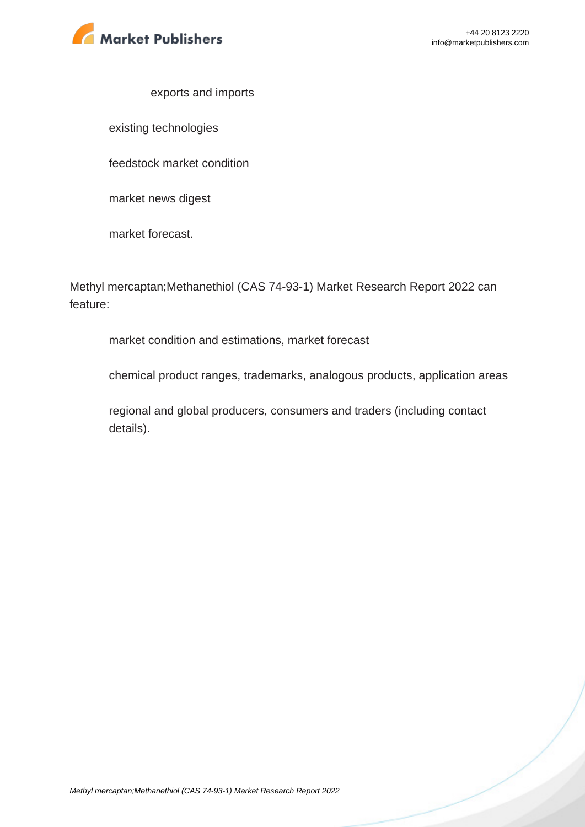

#### exports and imports

existing technologies

feedstock market condition

market news digest

market forecast.

Methyl mercaptan;Methanethiol (CAS 74-93-1) Market Research Report 2022 can feature:

market condition and estimations, market forecast

chemical product ranges, trademarks, analogous products, application areas

regional and global producers, consumers and traders (including contact details).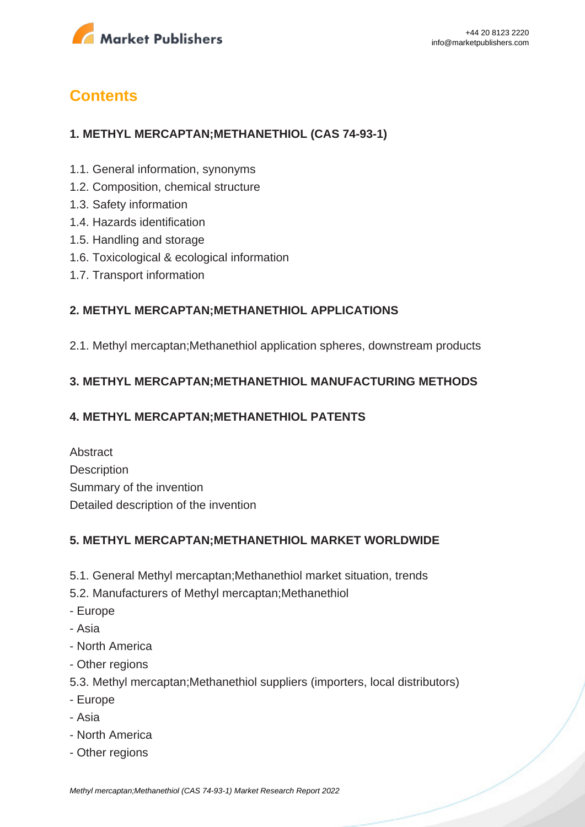

# **Contents**

## **1. METHYL MERCAPTAN;METHANETHIOL (CAS 74-93-1)**

- 1.1. General information, synonyms
- 1.2. Composition, chemical structure
- 1.3. Safety information
- 1.4. Hazards identification
- 1.5. Handling and storage
- 1.6. Toxicological & ecological information
- 1.7. Transport information

### **2. METHYL MERCAPTAN;METHANETHIOL APPLICATIONS**

2.1. Methyl mercaptan;Methanethiol application spheres, downstream products

### **3. METHYL MERCAPTAN;METHANETHIOL MANUFACTURING METHODS**

### **4. METHYL MERCAPTAN;METHANETHIOL PATENTS**

Abstract **Description** Summary of the invention Detailed description of the invention

### **5. METHYL MERCAPTAN;METHANETHIOL MARKET WORLDWIDE**

- 5.1. General Methyl mercaptan;Methanethiol market situation, trends
- 5.2. Manufacturers of Methyl mercaptan;Methanethiol
- Europe
- Asia
- North America
- Other regions
- 5.3. Methyl mercaptan;Methanethiol suppliers (importers, local distributors)
- Europe
- Asia
- North America
- Other regions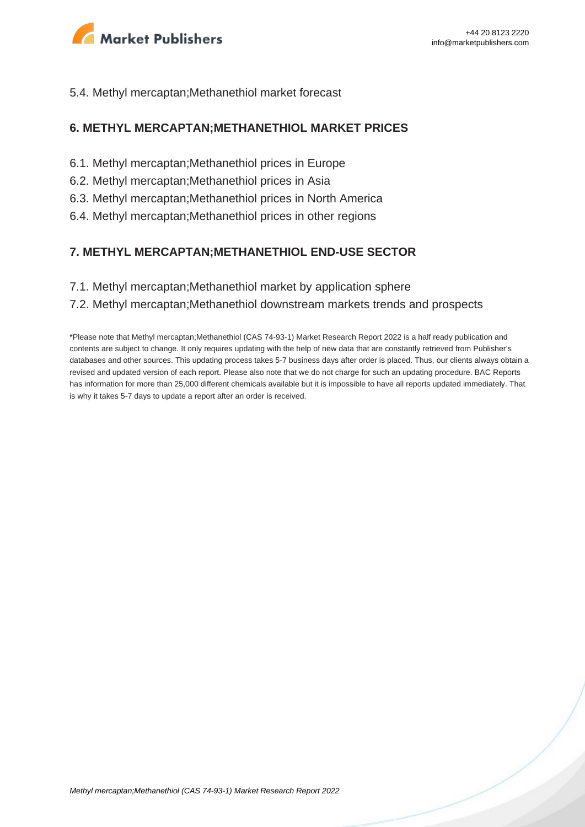

#### 5.4. Methyl mercaptan;Methanethiol market forecast

#### **6. METHYL MERCAPTAN;METHANETHIOL MARKET PRICES**

- 6.1. Methyl mercaptan;Methanethiol prices in Europe
- 6.2. Methyl mercaptan;Methanethiol prices in Asia
- 6.3. Methyl mercaptan;Methanethiol prices in North America
- 6.4. Methyl mercaptan;Methanethiol prices in other regions

#### **7. METHYL MERCAPTAN;METHANETHIOL END-USE SECTOR**

7.1. Methyl mercaptan;Methanethiol market by application sphere

#### 7.2. Methyl mercaptan;Methanethiol downstream markets trends and prospects

\*Please note that Methyl mercaptan;Methanethiol (CAS 74-93-1) Market Research Report 2022 is a half ready publication and contents are subject to change. It only requires updating with the help of new data that are constantly retrieved from Publisher's databases and other sources. This updating process takes 5-7 business days after order is placed. Thus, our clients always obtain a revised and updated version of each report. Please also note that we do not charge for such an updating procedure. BAC Reports has information for more than 25,000 different chemicals available but it is impossible to have all reports updated immediately. That is why it takes 5-7 days to update a report after an order is received.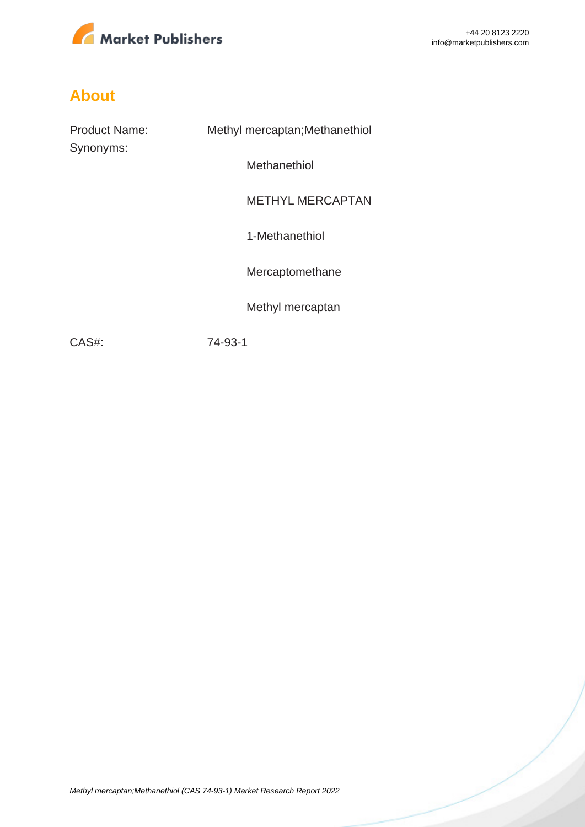

# **About**

| <b>Product Name:</b><br>Synonyms: | Methyl mercaptan; Methanethiol |
|-----------------------------------|--------------------------------|
|                                   | Methanethiol                   |
|                                   | <b>METHYL MERCAPTAN</b>        |
|                                   | 1-Methanethiol                 |
|                                   | Mercaptomethane                |
|                                   | Methyl mercaptan               |
| CAS#:                             | 74-93-1                        |